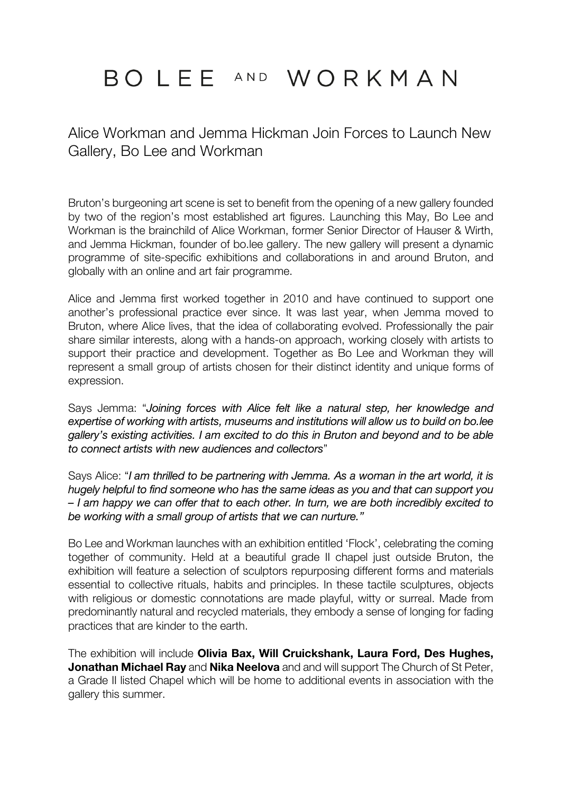# BOLEE AND WORKMAN

Alice Workman and Jemma Hickman Join Forces to Launch New Gallery, Bo Lee and Workman

Bruton's burgeoning art scene is set to benefit from the opening of a new gallery founded by two of the region's most established art figures. Launching this May, Bo Lee and Workman is the brainchild of Alice Workman, former Senior Director of Hauser & Wirth, and Jemma Hickman, founder of bo.lee gallery. The new gallery will present a dynamic programme of site-specific exhibitions and collaborations in and around Bruton, and globally with an online and art fair programme.

Alice and Jemma first worked together in 2010 and have continued to support one another's professional practice ever since. It was last year, when Jemma moved to Bruton, where Alice lives, that the idea of collaborating evolved. Professionally the pair share similar interests, along with a hands-on approach, working closely with artists to support their practice and development. Together as Bo Lee and Workman they will represent a small group of artists chosen for their distinct identity and unique forms of expression.

Says Jemma: "*Joining forces with Alice felt like a natural step, her knowledge and expertise of working with artists, museums and institutions will allow us to build on bo.lee gallery's existing activities. I am excited to do this in Bruton and beyond and to be able to connect artists with new audiences and collectors*"

Says Alice: "*I am thrilled to be partnering with Jemma. As a woman in the art world, it is hugely helpful to find someone who has the same ideas as you and that can support you – I am happy we can offer that to each other. In turn, we are both incredibly excited to be working with a small group of artists that we can nurture."*

Bo Lee and Workman launches with an exhibition entitled 'Flock', celebrating the coming together of community. Held at a beautiful grade II chapel just outside Bruton, the exhibition will feature a selection of sculptors repurposing different forms and materials essential to collective rituals, habits and principles. In these tactile sculptures, objects with religious or domestic connotations are made playful, witty or surreal. Made from predominantly natural and recycled materials, they embody a sense of longing for fading practices that are kinder to the earth.

The exhibition will include **Olivia Bax, Will Cruickshank, Laura Ford, Des Hughes, Jonathan Michael Ray** and **Nika Neelova** and and will support The Church of St Peter, a Grade II listed Chapel which will be home to additional events in association with the gallery this summer.